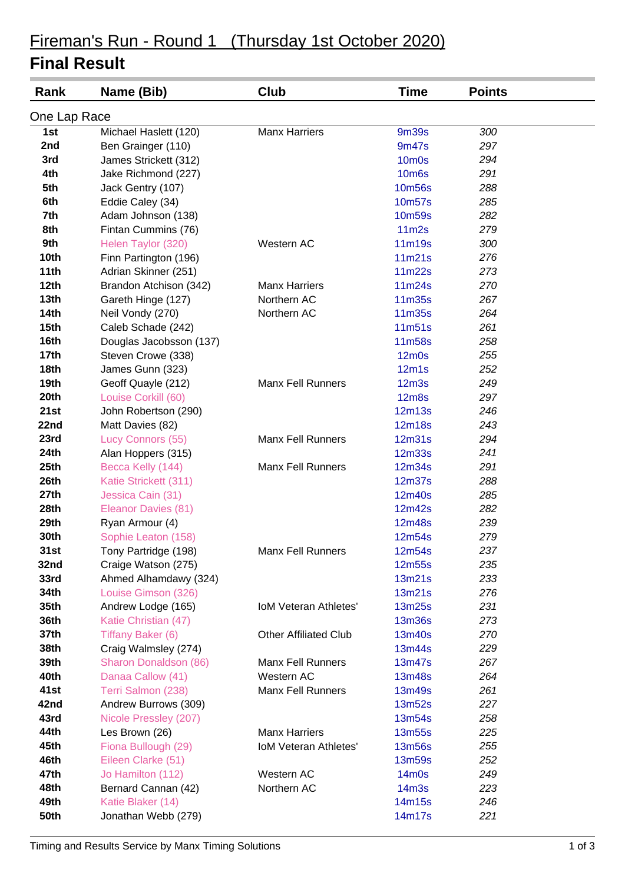# Fireman's Run - Round 1 (Thursday 1st October 2020)

### **Final Result**

| One Lap Race<br><b>9m39s</b><br><b>Manx Harriers</b><br>300<br>1st<br>Michael Haslett (120)<br>2nd<br>Ben Grainger (110)<br>9m47s<br>297<br>3rd<br>James Strickett (312)<br>10 <sub>m</sub> 0s<br>294<br>4th<br>Jake Richmond (227)<br><b>10m6s</b><br>291<br>5th<br>Jack Gentry (107)<br><b>10m56s</b><br>288<br>6th<br>Eddie Caley (34)<br>10m57s<br>285<br>7th<br>Adam Johnson (138)<br>10m59s<br>282<br>8th<br>11 <sub>m2s</sub><br>Fintan Cummins (76)<br>279<br>Western AC<br>11m19s<br>9th<br>Helen Taylor (320)<br>300<br><b>10th</b><br>11m21s<br>Finn Partington (196)<br>276<br>11m22s<br>11th<br>Adrian Skinner (251)<br>273<br>12th<br><b>Manx Harriers</b><br>11m24s<br>Brandon Atchison (342)<br>270<br>13 <sub>th</sub><br>Northern AC<br>267<br>Gareth Hinge (127)<br>11m35s<br><b>14th</b><br>Neil Vondy (270)<br>Northern AC<br>11m35s<br>264<br>15 <sub>th</sub><br>Caleb Schade (242)<br>11m51s<br>261<br>16th<br>11m58s<br>Douglas Jacobsson (137)<br>258<br>17 <sub>th</sub><br>Steven Crowe (338)<br>$12m$ 0s<br>255<br>18th<br>12m1s<br>James Gunn (323)<br>252<br><b>Manx Fell Runners</b><br>19th<br>Geoff Quayle (212)<br>12 <sub>m3s</sub><br>249<br>20th<br>Louise Corkill (60)<br><b>12m8s</b><br>297<br>21st<br>John Robertson (290)<br>12m13s<br>246<br>22nd<br>12m18s<br>243<br>Matt Davies (82)<br>23rd<br><b>Manx Fell Runners</b><br>Lucy Connors (55)<br>12m31s<br>294<br><b>24th</b><br>Alan Hoppers (315)<br><b>12m33s</b><br>241<br>25th<br>Becca Kelly (144)<br><b>Manx Fell Runners</b><br>12m34s<br>291<br>26th<br>Katie Strickett (311)<br>12m37s<br>288<br>27th<br>Jessica Cain (31)<br>12m40s<br>285<br>28th<br>Eleanor Davies (81)<br>12m42s<br>282<br>29th<br>239<br>Ryan Armour (4)<br>12m48s<br>30th<br>Sophie Leaton (158)<br>12m54s<br>279<br>237<br>31st<br><b>Manx Fell Runners</b><br>Tony Partridge (198)<br>12m54s<br>Craige Watson (275)<br>32nd<br>12m55s<br>235<br>33rd<br>233<br>Ahmed Alhamdawy (324)<br>13m21s<br>34th<br>Louise Gimson (326)<br>13m21s<br>276<br>35th<br>231<br>Andrew Lodge (165)<br><b>IoM Veteran Athletes'</b><br>13m25s<br>36th<br>Katie Christian (47)<br>13m36s<br>273<br>37th<br>270<br>Tiffany Baker (6)<br><b>Other Affiliated Club</b><br>13m40s<br>38th<br>Craig Walmsley (274)<br>229<br>13m44s<br>39th<br>267<br>Sharon Donaldson (86)<br><b>Manx Fell Runners</b><br>13m47s<br>Western AC<br>40th<br>Danaa Callow (41)<br>13m48s<br>264<br>41st<br><b>Manx Fell Runners</b><br>261<br>Terri Salmon (238)<br>13m49s<br>42nd<br>Andrew Burrows (309)<br>13m52s<br>227<br>43rd<br>Nicole Pressley (207)<br>13m54s<br>258<br>44th<br><b>Manx Harriers</b><br>225<br>Les Brown (26)<br>13m55s<br>45th<br>Fiona Bullough (29)<br><b>IoM Veteran Athletes'</b><br>13m56s<br>255<br>46th<br>Eileen Clarke (51)<br>252<br>13m59s<br>47th<br>Western AC<br>Jo Hamilton (112)<br>14m0s<br>249<br>Northern AC<br>48th<br>Bernard Cannan (42)<br>14 <sub>m3s</sub><br>223<br>49th<br>Katie Blaker (14)<br>14m15s<br>246 | Rank        | Name (Bib)          | Club | <b>Time</b> | <b>Points</b> |  |
|------------------------------------------------------------------------------------------------------------------------------------------------------------------------------------------------------------------------------------------------------------------------------------------------------------------------------------------------------------------------------------------------------------------------------------------------------------------------------------------------------------------------------------------------------------------------------------------------------------------------------------------------------------------------------------------------------------------------------------------------------------------------------------------------------------------------------------------------------------------------------------------------------------------------------------------------------------------------------------------------------------------------------------------------------------------------------------------------------------------------------------------------------------------------------------------------------------------------------------------------------------------------------------------------------------------------------------------------------------------------------------------------------------------------------------------------------------------------------------------------------------------------------------------------------------------------------------------------------------------------------------------------------------------------------------------------------------------------------------------------------------------------------------------------------------------------------------------------------------------------------------------------------------------------------------------------------------------------------------------------------------------------------------------------------------------------------------------------------------------------------------------------------------------------------------------------------------------------------------------------------------------------------------------------------------------------------------------------------------------------------------------------------------------------------------------------------------------------------------------------------------------------------------------------------------------------------------------------------------------------------------------------------------------------------------------------------------------------------------------------------------------------------------------------------------------------------------------------------------------------------------------------------------------------------------------------------------------------------------------------------------|-------------|---------------------|------|-------------|---------------|--|
|                                                                                                                                                                                                                                                                                                                                                                                                                                                                                                                                                                                                                                                                                                                                                                                                                                                                                                                                                                                                                                                                                                                                                                                                                                                                                                                                                                                                                                                                                                                                                                                                                                                                                                                                                                                                                                                                                                                                                                                                                                                                                                                                                                                                                                                                                                                                                                                                                                                                                                                                                                                                                                                                                                                                                                                                                                                                                                                                                                                                            |             |                     |      |             |               |  |
|                                                                                                                                                                                                                                                                                                                                                                                                                                                                                                                                                                                                                                                                                                                                                                                                                                                                                                                                                                                                                                                                                                                                                                                                                                                                                                                                                                                                                                                                                                                                                                                                                                                                                                                                                                                                                                                                                                                                                                                                                                                                                                                                                                                                                                                                                                                                                                                                                                                                                                                                                                                                                                                                                                                                                                                                                                                                                                                                                                                                            |             |                     |      |             |               |  |
|                                                                                                                                                                                                                                                                                                                                                                                                                                                                                                                                                                                                                                                                                                                                                                                                                                                                                                                                                                                                                                                                                                                                                                                                                                                                                                                                                                                                                                                                                                                                                                                                                                                                                                                                                                                                                                                                                                                                                                                                                                                                                                                                                                                                                                                                                                                                                                                                                                                                                                                                                                                                                                                                                                                                                                                                                                                                                                                                                                                                            |             |                     |      |             |               |  |
|                                                                                                                                                                                                                                                                                                                                                                                                                                                                                                                                                                                                                                                                                                                                                                                                                                                                                                                                                                                                                                                                                                                                                                                                                                                                                                                                                                                                                                                                                                                                                                                                                                                                                                                                                                                                                                                                                                                                                                                                                                                                                                                                                                                                                                                                                                                                                                                                                                                                                                                                                                                                                                                                                                                                                                                                                                                                                                                                                                                                            |             |                     |      |             |               |  |
|                                                                                                                                                                                                                                                                                                                                                                                                                                                                                                                                                                                                                                                                                                                                                                                                                                                                                                                                                                                                                                                                                                                                                                                                                                                                                                                                                                                                                                                                                                                                                                                                                                                                                                                                                                                                                                                                                                                                                                                                                                                                                                                                                                                                                                                                                                                                                                                                                                                                                                                                                                                                                                                                                                                                                                                                                                                                                                                                                                                                            |             |                     |      |             |               |  |
|                                                                                                                                                                                                                                                                                                                                                                                                                                                                                                                                                                                                                                                                                                                                                                                                                                                                                                                                                                                                                                                                                                                                                                                                                                                                                                                                                                                                                                                                                                                                                                                                                                                                                                                                                                                                                                                                                                                                                                                                                                                                                                                                                                                                                                                                                                                                                                                                                                                                                                                                                                                                                                                                                                                                                                                                                                                                                                                                                                                                            |             |                     |      |             |               |  |
|                                                                                                                                                                                                                                                                                                                                                                                                                                                                                                                                                                                                                                                                                                                                                                                                                                                                                                                                                                                                                                                                                                                                                                                                                                                                                                                                                                                                                                                                                                                                                                                                                                                                                                                                                                                                                                                                                                                                                                                                                                                                                                                                                                                                                                                                                                                                                                                                                                                                                                                                                                                                                                                                                                                                                                                                                                                                                                                                                                                                            |             |                     |      |             |               |  |
|                                                                                                                                                                                                                                                                                                                                                                                                                                                                                                                                                                                                                                                                                                                                                                                                                                                                                                                                                                                                                                                                                                                                                                                                                                                                                                                                                                                                                                                                                                                                                                                                                                                                                                                                                                                                                                                                                                                                                                                                                                                                                                                                                                                                                                                                                                                                                                                                                                                                                                                                                                                                                                                                                                                                                                                                                                                                                                                                                                                                            |             |                     |      |             |               |  |
|                                                                                                                                                                                                                                                                                                                                                                                                                                                                                                                                                                                                                                                                                                                                                                                                                                                                                                                                                                                                                                                                                                                                                                                                                                                                                                                                                                                                                                                                                                                                                                                                                                                                                                                                                                                                                                                                                                                                                                                                                                                                                                                                                                                                                                                                                                                                                                                                                                                                                                                                                                                                                                                                                                                                                                                                                                                                                                                                                                                                            |             |                     |      |             |               |  |
|                                                                                                                                                                                                                                                                                                                                                                                                                                                                                                                                                                                                                                                                                                                                                                                                                                                                                                                                                                                                                                                                                                                                                                                                                                                                                                                                                                                                                                                                                                                                                                                                                                                                                                                                                                                                                                                                                                                                                                                                                                                                                                                                                                                                                                                                                                                                                                                                                                                                                                                                                                                                                                                                                                                                                                                                                                                                                                                                                                                                            |             |                     |      |             |               |  |
|                                                                                                                                                                                                                                                                                                                                                                                                                                                                                                                                                                                                                                                                                                                                                                                                                                                                                                                                                                                                                                                                                                                                                                                                                                                                                                                                                                                                                                                                                                                                                                                                                                                                                                                                                                                                                                                                                                                                                                                                                                                                                                                                                                                                                                                                                                                                                                                                                                                                                                                                                                                                                                                                                                                                                                                                                                                                                                                                                                                                            |             |                     |      |             |               |  |
|                                                                                                                                                                                                                                                                                                                                                                                                                                                                                                                                                                                                                                                                                                                                                                                                                                                                                                                                                                                                                                                                                                                                                                                                                                                                                                                                                                                                                                                                                                                                                                                                                                                                                                                                                                                                                                                                                                                                                                                                                                                                                                                                                                                                                                                                                                                                                                                                                                                                                                                                                                                                                                                                                                                                                                                                                                                                                                                                                                                                            |             |                     |      |             |               |  |
|                                                                                                                                                                                                                                                                                                                                                                                                                                                                                                                                                                                                                                                                                                                                                                                                                                                                                                                                                                                                                                                                                                                                                                                                                                                                                                                                                                                                                                                                                                                                                                                                                                                                                                                                                                                                                                                                                                                                                                                                                                                                                                                                                                                                                                                                                                                                                                                                                                                                                                                                                                                                                                                                                                                                                                                                                                                                                                                                                                                                            |             |                     |      |             |               |  |
|                                                                                                                                                                                                                                                                                                                                                                                                                                                                                                                                                                                                                                                                                                                                                                                                                                                                                                                                                                                                                                                                                                                                                                                                                                                                                                                                                                                                                                                                                                                                                                                                                                                                                                                                                                                                                                                                                                                                                                                                                                                                                                                                                                                                                                                                                                                                                                                                                                                                                                                                                                                                                                                                                                                                                                                                                                                                                                                                                                                                            |             |                     |      |             |               |  |
|                                                                                                                                                                                                                                                                                                                                                                                                                                                                                                                                                                                                                                                                                                                                                                                                                                                                                                                                                                                                                                                                                                                                                                                                                                                                                                                                                                                                                                                                                                                                                                                                                                                                                                                                                                                                                                                                                                                                                                                                                                                                                                                                                                                                                                                                                                                                                                                                                                                                                                                                                                                                                                                                                                                                                                                                                                                                                                                                                                                                            |             |                     |      |             |               |  |
|                                                                                                                                                                                                                                                                                                                                                                                                                                                                                                                                                                                                                                                                                                                                                                                                                                                                                                                                                                                                                                                                                                                                                                                                                                                                                                                                                                                                                                                                                                                                                                                                                                                                                                                                                                                                                                                                                                                                                                                                                                                                                                                                                                                                                                                                                                                                                                                                                                                                                                                                                                                                                                                                                                                                                                                                                                                                                                                                                                                                            |             |                     |      |             |               |  |
|                                                                                                                                                                                                                                                                                                                                                                                                                                                                                                                                                                                                                                                                                                                                                                                                                                                                                                                                                                                                                                                                                                                                                                                                                                                                                                                                                                                                                                                                                                                                                                                                                                                                                                                                                                                                                                                                                                                                                                                                                                                                                                                                                                                                                                                                                                                                                                                                                                                                                                                                                                                                                                                                                                                                                                                                                                                                                                                                                                                                            |             |                     |      |             |               |  |
|                                                                                                                                                                                                                                                                                                                                                                                                                                                                                                                                                                                                                                                                                                                                                                                                                                                                                                                                                                                                                                                                                                                                                                                                                                                                                                                                                                                                                                                                                                                                                                                                                                                                                                                                                                                                                                                                                                                                                                                                                                                                                                                                                                                                                                                                                                                                                                                                                                                                                                                                                                                                                                                                                                                                                                                                                                                                                                                                                                                                            |             |                     |      |             |               |  |
|                                                                                                                                                                                                                                                                                                                                                                                                                                                                                                                                                                                                                                                                                                                                                                                                                                                                                                                                                                                                                                                                                                                                                                                                                                                                                                                                                                                                                                                                                                                                                                                                                                                                                                                                                                                                                                                                                                                                                                                                                                                                                                                                                                                                                                                                                                                                                                                                                                                                                                                                                                                                                                                                                                                                                                                                                                                                                                                                                                                                            |             |                     |      |             |               |  |
|                                                                                                                                                                                                                                                                                                                                                                                                                                                                                                                                                                                                                                                                                                                                                                                                                                                                                                                                                                                                                                                                                                                                                                                                                                                                                                                                                                                                                                                                                                                                                                                                                                                                                                                                                                                                                                                                                                                                                                                                                                                                                                                                                                                                                                                                                                                                                                                                                                                                                                                                                                                                                                                                                                                                                                                                                                                                                                                                                                                                            |             |                     |      |             |               |  |
|                                                                                                                                                                                                                                                                                                                                                                                                                                                                                                                                                                                                                                                                                                                                                                                                                                                                                                                                                                                                                                                                                                                                                                                                                                                                                                                                                                                                                                                                                                                                                                                                                                                                                                                                                                                                                                                                                                                                                                                                                                                                                                                                                                                                                                                                                                                                                                                                                                                                                                                                                                                                                                                                                                                                                                                                                                                                                                                                                                                                            |             |                     |      |             |               |  |
|                                                                                                                                                                                                                                                                                                                                                                                                                                                                                                                                                                                                                                                                                                                                                                                                                                                                                                                                                                                                                                                                                                                                                                                                                                                                                                                                                                                                                                                                                                                                                                                                                                                                                                                                                                                                                                                                                                                                                                                                                                                                                                                                                                                                                                                                                                                                                                                                                                                                                                                                                                                                                                                                                                                                                                                                                                                                                                                                                                                                            |             |                     |      |             |               |  |
|                                                                                                                                                                                                                                                                                                                                                                                                                                                                                                                                                                                                                                                                                                                                                                                                                                                                                                                                                                                                                                                                                                                                                                                                                                                                                                                                                                                                                                                                                                                                                                                                                                                                                                                                                                                                                                                                                                                                                                                                                                                                                                                                                                                                                                                                                                                                                                                                                                                                                                                                                                                                                                                                                                                                                                                                                                                                                                                                                                                                            |             |                     |      |             |               |  |
|                                                                                                                                                                                                                                                                                                                                                                                                                                                                                                                                                                                                                                                                                                                                                                                                                                                                                                                                                                                                                                                                                                                                                                                                                                                                                                                                                                                                                                                                                                                                                                                                                                                                                                                                                                                                                                                                                                                                                                                                                                                                                                                                                                                                                                                                                                                                                                                                                                                                                                                                                                                                                                                                                                                                                                                                                                                                                                                                                                                                            |             |                     |      |             |               |  |
|                                                                                                                                                                                                                                                                                                                                                                                                                                                                                                                                                                                                                                                                                                                                                                                                                                                                                                                                                                                                                                                                                                                                                                                                                                                                                                                                                                                                                                                                                                                                                                                                                                                                                                                                                                                                                                                                                                                                                                                                                                                                                                                                                                                                                                                                                                                                                                                                                                                                                                                                                                                                                                                                                                                                                                                                                                                                                                                                                                                                            |             |                     |      |             |               |  |
|                                                                                                                                                                                                                                                                                                                                                                                                                                                                                                                                                                                                                                                                                                                                                                                                                                                                                                                                                                                                                                                                                                                                                                                                                                                                                                                                                                                                                                                                                                                                                                                                                                                                                                                                                                                                                                                                                                                                                                                                                                                                                                                                                                                                                                                                                                                                                                                                                                                                                                                                                                                                                                                                                                                                                                                                                                                                                                                                                                                                            |             |                     |      |             |               |  |
|                                                                                                                                                                                                                                                                                                                                                                                                                                                                                                                                                                                                                                                                                                                                                                                                                                                                                                                                                                                                                                                                                                                                                                                                                                                                                                                                                                                                                                                                                                                                                                                                                                                                                                                                                                                                                                                                                                                                                                                                                                                                                                                                                                                                                                                                                                                                                                                                                                                                                                                                                                                                                                                                                                                                                                                                                                                                                                                                                                                                            |             |                     |      |             |               |  |
|                                                                                                                                                                                                                                                                                                                                                                                                                                                                                                                                                                                                                                                                                                                                                                                                                                                                                                                                                                                                                                                                                                                                                                                                                                                                                                                                                                                                                                                                                                                                                                                                                                                                                                                                                                                                                                                                                                                                                                                                                                                                                                                                                                                                                                                                                                                                                                                                                                                                                                                                                                                                                                                                                                                                                                                                                                                                                                                                                                                                            |             |                     |      |             |               |  |
|                                                                                                                                                                                                                                                                                                                                                                                                                                                                                                                                                                                                                                                                                                                                                                                                                                                                                                                                                                                                                                                                                                                                                                                                                                                                                                                                                                                                                                                                                                                                                                                                                                                                                                                                                                                                                                                                                                                                                                                                                                                                                                                                                                                                                                                                                                                                                                                                                                                                                                                                                                                                                                                                                                                                                                                                                                                                                                                                                                                                            |             |                     |      |             |               |  |
|                                                                                                                                                                                                                                                                                                                                                                                                                                                                                                                                                                                                                                                                                                                                                                                                                                                                                                                                                                                                                                                                                                                                                                                                                                                                                                                                                                                                                                                                                                                                                                                                                                                                                                                                                                                                                                                                                                                                                                                                                                                                                                                                                                                                                                                                                                                                                                                                                                                                                                                                                                                                                                                                                                                                                                                                                                                                                                                                                                                                            |             |                     |      |             |               |  |
|                                                                                                                                                                                                                                                                                                                                                                                                                                                                                                                                                                                                                                                                                                                                                                                                                                                                                                                                                                                                                                                                                                                                                                                                                                                                                                                                                                                                                                                                                                                                                                                                                                                                                                                                                                                                                                                                                                                                                                                                                                                                                                                                                                                                                                                                                                                                                                                                                                                                                                                                                                                                                                                                                                                                                                                                                                                                                                                                                                                                            |             |                     |      |             |               |  |
|                                                                                                                                                                                                                                                                                                                                                                                                                                                                                                                                                                                                                                                                                                                                                                                                                                                                                                                                                                                                                                                                                                                                                                                                                                                                                                                                                                                                                                                                                                                                                                                                                                                                                                                                                                                                                                                                                                                                                                                                                                                                                                                                                                                                                                                                                                                                                                                                                                                                                                                                                                                                                                                                                                                                                                                                                                                                                                                                                                                                            |             |                     |      |             |               |  |
|                                                                                                                                                                                                                                                                                                                                                                                                                                                                                                                                                                                                                                                                                                                                                                                                                                                                                                                                                                                                                                                                                                                                                                                                                                                                                                                                                                                                                                                                                                                                                                                                                                                                                                                                                                                                                                                                                                                                                                                                                                                                                                                                                                                                                                                                                                                                                                                                                                                                                                                                                                                                                                                                                                                                                                                                                                                                                                                                                                                                            |             |                     |      |             |               |  |
|                                                                                                                                                                                                                                                                                                                                                                                                                                                                                                                                                                                                                                                                                                                                                                                                                                                                                                                                                                                                                                                                                                                                                                                                                                                                                                                                                                                                                                                                                                                                                                                                                                                                                                                                                                                                                                                                                                                                                                                                                                                                                                                                                                                                                                                                                                                                                                                                                                                                                                                                                                                                                                                                                                                                                                                                                                                                                                                                                                                                            |             |                     |      |             |               |  |
|                                                                                                                                                                                                                                                                                                                                                                                                                                                                                                                                                                                                                                                                                                                                                                                                                                                                                                                                                                                                                                                                                                                                                                                                                                                                                                                                                                                                                                                                                                                                                                                                                                                                                                                                                                                                                                                                                                                                                                                                                                                                                                                                                                                                                                                                                                                                                                                                                                                                                                                                                                                                                                                                                                                                                                                                                                                                                                                                                                                                            |             |                     |      |             |               |  |
|                                                                                                                                                                                                                                                                                                                                                                                                                                                                                                                                                                                                                                                                                                                                                                                                                                                                                                                                                                                                                                                                                                                                                                                                                                                                                                                                                                                                                                                                                                                                                                                                                                                                                                                                                                                                                                                                                                                                                                                                                                                                                                                                                                                                                                                                                                                                                                                                                                                                                                                                                                                                                                                                                                                                                                                                                                                                                                                                                                                                            |             |                     |      |             |               |  |
|                                                                                                                                                                                                                                                                                                                                                                                                                                                                                                                                                                                                                                                                                                                                                                                                                                                                                                                                                                                                                                                                                                                                                                                                                                                                                                                                                                                                                                                                                                                                                                                                                                                                                                                                                                                                                                                                                                                                                                                                                                                                                                                                                                                                                                                                                                                                                                                                                                                                                                                                                                                                                                                                                                                                                                                                                                                                                                                                                                                                            |             |                     |      |             |               |  |
|                                                                                                                                                                                                                                                                                                                                                                                                                                                                                                                                                                                                                                                                                                                                                                                                                                                                                                                                                                                                                                                                                                                                                                                                                                                                                                                                                                                                                                                                                                                                                                                                                                                                                                                                                                                                                                                                                                                                                                                                                                                                                                                                                                                                                                                                                                                                                                                                                                                                                                                                                                                                                                                                                                                                                                                                                                                                                                                                                                                                            |             |                     |      |             |               |  |
|                                                                                                                                                                                                                                                                                                                                                                                                                                                                                                                                                                                                                                                                                                                                                                                                                                                                                                                                                                                                                                                                                                                                                                                                                                                                                                                                                                                                                                                                                                                                                                                                                                                                                                                                                                                                                                                                                                                                                                                                                                                                                                                                                                                                                                                                                                                                                                                                                                                                                                                                                                                                                                                                                                                                                                                                                                                                                                                                                                                                            |             |                     |      |             |               |  |
|                                                                                                                                                                                                                                                                                                                                                                                                                                                                                                                                                                                                                                                                                                                                                                                                                                                                                                                                                                                                                                                                                                                                                                                                                                                                                                                                                                                                                                                                                                                                                                                                                                                                                                                                                                                                                                                                                                                                                                                                                                                                                                                                                                                                                                                                                                                                                                                                                                                                                                                                                                                                                                                                                                                                                                                                                                                                                                                                                                                                            |             |                     |      |             |               |  |
|                                                                                                                                                                                                                                                                                                                                                                                                                                                                                                                                                                                                                                                                                                                                                                                                                                                                                                                                                                                                                                                                                                                                                                                                                                                                                                                                                                                                                                                                                                                                                                                                                                                                                                                                                                                                                                                                                                                                                                                                                                                                                                                                                                                                                                                                                                                                                                                                                                                                                                                                                                                                                                                                                                                                                                                                                                                                                                                                                                                                            |             |                     |      |             |               |  |
|                                                                                                                                                                                                                                                                                                                                                                                                                                                                                                                                                                                                                                                                                                                                                                                                                                                                                                                                                                                                                                                                                                                                                                                                                                                                                                                                                                                                                                                                                                                                                                                                                                                                                                                                                                                                                                                                                                                                                                                                                                                                                                                                                                                                                                                                                                                                                                                                                                                                                                                                                                                                                                                                                                                                                                                                                                                                                                                                                                                                            |             |                     |      |             |               |  |
|                                                                                                                                                                                                                                                                                                                                                                                                                                                                                                                                                                                                                                                                                                                                                                                                                                                                                                                                                                                                                                                                                                                                                                                                                                                                                                                                                                                                                                                                                                                                                                                                                                                                                                                                                                                                                                                                                                                                                                                                                                                                                                                                                                                                                                                                                                                                                                                                                                                                                                                                                                                                                                                                                                                                                                                                                                                                                                                                                                                                            |             |                     |      |             |               |  |
|                                                                                                                                                                                                                                                                                                                                                                                                                                                                                                                                                                                                                                                                                                                                                                                                                                                                                                                                                                                                                                                                                                                                                                                                                                                                                                                                                                                                                                                                                                                                                                                                                                                                                                                                                                                                                                                                                                                                                                                                                                                                                                                                                                                                                                                                                                                                                                                                                                                                                                                                                                                                                                                                                                                                                                                                                                                                                                                                                                                                            |             |                     |      |             |               |  |
|                                                                                                                                                                                                                                                                                                                                                                                                                                                                                                                                                                                                                                                                                                                                                                                                                                                                                                                                                                                                                                                                                                                                                                                                                                                                                                                                                                                                                                                                                                                                                                                                                                                                                                                                                                                                                                                                                                                                                                                                                                                                                                                                                                                                                                                                                                                                                                                                                                                                                                                                                                                                                                                                                                                                                                                                                                                                                                                                                                                                            |             |                     |      |             |               |  |
|                                                                                                                                                                                                                                                                                                                                                                                                                                                                                                                                                                                                                                                                                                                                                                                                                                                                                                                                                                                                                                                                                                                                                                                                                                                                                                                                                                                                                                                                                                                                                                                                                                                                                                                                                                                                                                                                                                                                                                                                                                                                                                                                                                                                                                                                                                                                                                                                                                                                                                                                                                                                                                                                                                                                                                                                                                                                                                                                                                                                            |             |                     |      |             |               |  |
|                                                                                                                                                                                                                                                                                                                                                                                                                                                                                                                                                                                                                                                                                                                                                                                                                                                                                                                                                                                                                                                                                                                                                                                                                                                                                                                                                                                                                                                                                                                                                                                                                                                                                                                                                                                                                                                                                                                                                                                                                                                                                                                                                                                                                                                                                                                                                                                                                                                                                                                                                                                                                                                                                                                                                                                                                                                                                                                                                                                                            |             |                     |      |             |               |  |
|                                                                                                                                                                                                                                                                                                                                                                                                                                                                                                                                                                                                                                                                                                                                                                                                                                                                                                                                                                                                                                                                                                                                                                                                                                                                                                                                                                                                                                                                                                                                                                                                                                                                                                                                                                                                                                                                                                                                                                                                                                                                                                                                                                                                                                                                                                                                                                                                                                                                                                                                                                                                                                                                                                                                                                                                                                                                                                                                                                                                            |             |                     |      |             |               |  |
|                                                                                                                                                                                                                                                                                                                                                                                                                                                                                                                                                                                                                                                                                                                                                                                                                                                                                                                                                                                                                                                                                                                                                                                                                                                                                                                                                                                                                                                                                                                                                                                                                                                                                                                                                                                                                                                                                                                                                                                                                                                                                                                                                                                                                                                                                                                                                                                                                                                                                                                                                                                                                                                                                                                                                                                                                                                                                                                                                                                                            |             |                     |      |             |               |  |
|                                                                                                                                                                                                                                                                                                                                                                                                                                                                                                                                                                                                                                                                                                                                                                                                                                                                                                                                                                                                                                                                                                                                                                                                                                                                                                                                                                                                                                                                                                                                                                                                                                                                                                                                                                                                                                                                                                                                                                                                                                                                                                                                                                                                                                                                                                                                                                                                                                                                                                                                                                                                                                                                                                                                                                                                                                                                                                                                                                                                            | <b>50th</b> | Jonathan Webb (279) |      | 14m17s      | 221           |  |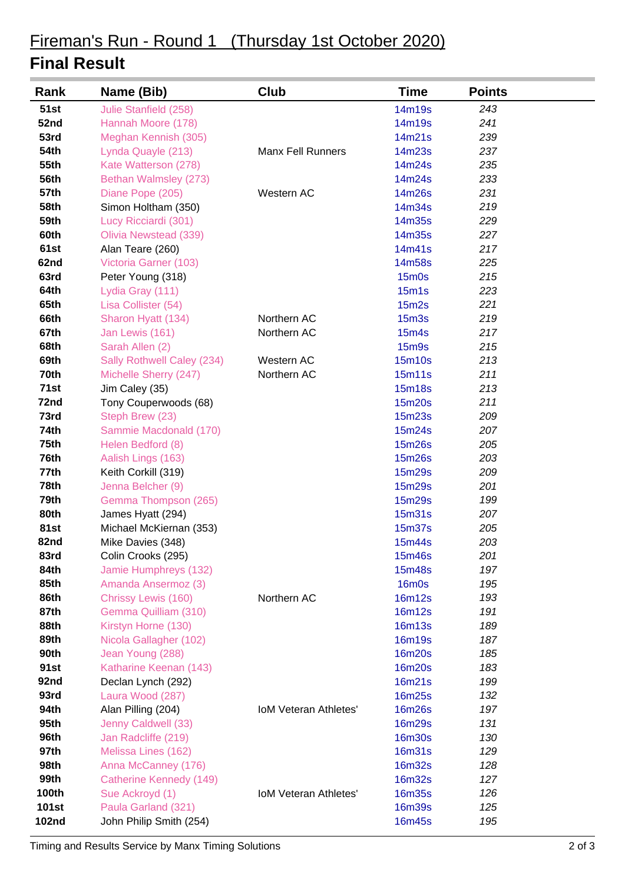# Fireman's Run - Round 1 (Thursday 1st October 2020)

### **Final Result**

| Rank         | Name (Bib)                 | Club                         | <b>Time</b>       | <b>Points</b> |
|--------------|----------------------------|------------------------------|-------------------|---------------|
| <b>51st</b>  | Julie Stanfield (258)      |                              | 14m19s            | 243           |
| 52nd         | Hannah Moore (178)         |                              | 14m19s            | 241           |
| 53rd         | Meghan Kennish (305)       |                              | 14m21s            | 239           |
| <b>54th</b>  | Lynda Quayle (213)         | <b>Manx Fell Runners</b>     | 14m23s            | 237           |
| 55th         | Kate Watterson (278)       |                              | 14m24s            | 235           |
| <b>56th</b>  | Bethan Walmsley (273)      |                              | 14m24s            | 233           |
| <b>57th</b>  | Diane Pope (205)           | Western AC                   | 14m26s            | 231           |
| 58th         | Simon Holtham (350)        |                              | 14m34s            | 219           |
| 59th         | Lucy Ricciardi (301)       |                              | 14m35s            | 229           |
| 60th         | Olivia Newstead (339)      |                              | 14m35s            | 227           |
| 61st         | Alan Teare (260)           |                              | 14m41s            | 217           |
| 62nd         | Victoria Garner (103)      |                              | 14m58s            | 225           |
| 63rd         | Peter Young (318)          |                              | <b>15m0s</b>      | 215           |
| 64th         | Lydia Gray (111)           |                              | 15m1s             | 223           |
| 65th         | Lisa Collister (54)        |                              | 15m2s             | 221           |
| 66th         | Sharon Hyatt (134)         | Northern AC                  | 15 <sub>m3s</sub> | 219           |
| 67th         | Jan Lewis (161)            | Northern AC                  | <b>15m4s</b>      | 217           |
| 68th         | Sarah Allen (2)            |                              | <b>15m9s</b>      | 215           |
| 69th         | Sally Rothwell Caley (234) | Western AC                   | <b>15m10s</b>     | 213           |
| 70th         | Michelle Sherry (247)      | Northern AC                  | <b>15m11s</b>     | 211           |
| 71st         | Jim Caley (35)             |                              | <b>15m18s</b>     | 213           |
| 72nd         | Tony Couperwoods (68)      |                              | 15m20s            | 211           |
| 73rd         | Steph Brew (23)            |                              | 15m23s            | 209           |
| 74th         | Sammie Macdonald (170)     |                              | 15m24s            | 207           |
| 75th         | Helen Bedford (8)          |                              | <b>15m26s</b>     | 205           |
| 76th         | Aalish Lings (163)         |                              | 15m26s            | 203           |
| 77th         | Keith Corkill (319)        |                              | 15m29s            | 209           |
| <b>78th</b>  | Jenna Belcher (9)          |                              | 15m29s            | 201           |
| 79th         | Gemma Thompson (265)       |                              | 15m29s            | 199           |
| 80th         | James Hyatt (294)          |                              | 15m31s            | 207           |
| 81st         | Michael McKiernan (353)    |                              | 15m37s            | 205           |
| 82nd         | Mike Davies (348)          |                              | <b>15m44s</b>     | 203           |
| 83rd         | Colin Crooks (295)         |                              | 15m46s            | 201           |
| 84th         | Jamie Humphreys (132)      |                              | 15m48s            | 197           |
| 85th         | Amanda Ansermoz (3)        |                              | <b>16m0s</b>      | 195           |
| 86th         | Chrissy Lewis (160)        | Northern AC                  | <b>16m12s</b>     | 193           |
| 87th         | Gemma Quilliam (310)       |                              | <b>16m12s</b>     | 191           |
| 88th         | Kirstyn Horne (130)        |                              | <b>16m13s</b>     | 189           |
| 89th         | Nicola Gallagher (102)     |                              | <b>16m19s</b>     | 187           |
| <b>90th</b>  | Jean Young (288)           |                              | <b>16m20s</b>     | 185           |
| 91st         | Katharine Keenan (143)     |                              | <b>16m20s</b>     | 183           |
| 92nd         | Declan Lynch (292)         |                              | 16m21s            | 199           |
| 93rd         | Laura Wood (287)           |                              | 16m25s            | 132           |
| 94th         | Alan Pilling (204)         | <b>IoM Veteran Athletes'</b> | 16m26s            | 197           |
| 95th         | Jenny Caldwell (33)        |                              | 16m29s            | 131           |
| 96th         | Jan Radcliffe (219)        |                              | <b>16m30s</b>     | 130           |
| 97th         | Melissa Lines (162)        |                              | <b>16m31s</b>     | 129           |
| 98th         | Anna McCanney (176)        |                              | 16m32s            | 128           |
| 99th         | Catherine Kennedy (149)    |                              | 16m32s            | 127           |
| 100th        | Sue Ackroyd (1)            | <b>IoM Veteran Athletes'</b> | <b>16m35s</b>     | 126           |
| <b>101st</b> | Paula Garland (321)        |                              | <b>16m39s</b>     | 125           |
| <b>102nd</b> | John Philip Smith (254)    |                              | 16m45s            | 195           |